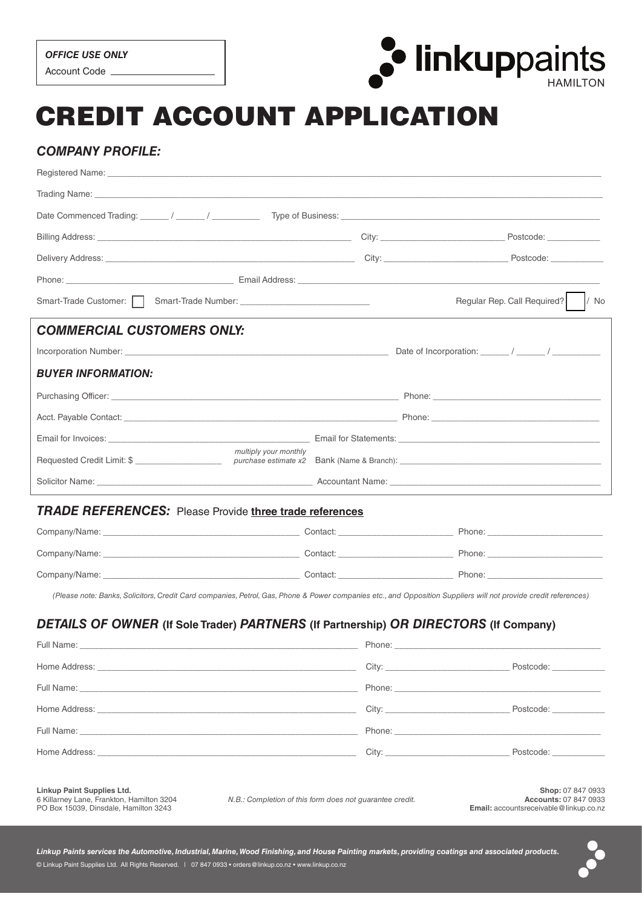

# CREDIT ACCOUNT APPLICATION

# *COMPANY PROFILE:*

| Trading Name: The Commission of the Commission of the Commission of the Commission of the Commission of the Commission of the Commission of the Commission of the Commission of the Commission of the Commission of the Commis       |        |                                                                                                                                                                                                                                |                                     |  |  |
|--------------------------------------------------------------------------------------------------------------------------------------------------------------------------------------------------------------------------------------|--------|--------------------------------------------------------------------------------------------------------------------------------------------------------------------------------------------------------------------------------|-------------------------------------|--|--|
|                                                                                                                                                                                                                                      |        |                                                                                                                                                                                                                                |                                     |  |  |
|                                                                                                                                                                                                                                      |        |                                                                                                                                                                                                                                |                                     |  |  |
|                                                                                                                                                                                                                                      |        |                                                                                                                                                                                                                                |                                     |  |  |
|                                                                                                                                                                                                                                      |        |                                                                                                                                                                                                                                |                                     |  |  |
|                                                                                                                                                                                                                                      |        |                                                                                                                                                                                                                                | / No<br>Regular Rep. Call Required? |  |  |
| <b>COMMERCIAL CUSTOMERS ONLY:</b>                                                                                                                                                                                                    |        |                                                                                                                                                                                                                                |                                     |  |  |
|                                                                                                                                                                                                                                      |        |                                                                                                                                                                                                                                |                                     |  |  |
| <b>BUYER INFORMATION:</b>                                                                                                                                                                                                            |        |                                                                                                                                                                                                                                |                                     |  |  |
|                                                                                                                                                                                                                                      |        |                                                                                                                                                                                                                                |                                     |  |  |
| Acct. Payable Contact: <u>Accordination of the Contract of Contract of Contract of Contract of Contract of Contract of Contract of Contract of Contract of Contract of Contract of Contract of Contract of Contract of Contract </u> |        |                                                                                                                                                                                                                                |                                     |  |  |
|                                                                                                                                                                                                                                      |        |                                                                                                                                                                                                                                |                                     |  |  |
| multiply your monthly                                                                                                                                                                                                                |        |                                                                                                                                                                                                                                |                                     |  |  |
| Solicitor Name: Name: Name: Name: Name: Name: Name: Name: Name: Name: Name: Name: Name: Name: Name: Name: Name: Name: Name: Name: Name: Name: Name: Name: Name: Name: Name: Name: Name: Name: Name: Name: Name: Name: Name: Na       |        |                                                                                                                                                                                                                                |                                     |  |  |
| <b>TRADE REFERENCES:</b> Please Provide three trade references                                                                                                                                                                       |        |                                                                                                                                                                                                                                |                                     |  |  |
|                                                                                                                                                                                                                                      |        |                                                                                                                                                                                                                                |                                     |  |  |
|                                                                                                                                                                                                                                      |        |                                                                                                                                                                                                                                |                                     |  |  |
|                                                                                                                                                                                                                                      |        |                                                                                                                                                                                                                                |                                     |  |  |
| (Please note: Banks, Solicitors, Credit Card companies, Petrol, Gas, Phone & Power companies etc., and Opposition Suppliers will not provide credit references)                                                                      |        |                                                                                                                                                                                                                                |                                     |  |  |
| DETAILS OF OWNER (If Sole Trader) PARTNERS (If Partnership) OR DIRECTORS (If Company)                                                                                                                                                |        |                                                                                                                                                                                                                                |                                     |  |  |
| Full Name:                                                                                                                                                                                                                           | Phone: |                                                                                                                                                                                                                                |                                     |  |  |
| Home Address: the contract of the contract of the contract of the contract of the contract of the contract of the contract of the contract of the contract of the contract of the contract of the contract of the contract of        |        | City:                                                                                                                                                                                                                          | Postcode: National Postcode:        |  |  |
|                                                                                                                                                                                                                                      |        |                                                                                                                                                                                                                                |                                     |  |  |
|                                                                                                                                                                                                                                      |        | City:                                                                                                                                                                                                                          |                                     |  |  |
|                                                                                                                                                                                                                                      |        | Phone: The contract of the contract of the contract of the contract of the contract of the contract of the contract of the contract of the contract of the contract of the contract of the contract of the contract of the con |                                     |  |  |
| Home Address: the contract of the contract of the contract of the contract of the contract of the contract of the contract of the contract of the contract of the contract of the contract of the contract of the contract of        |        |                                                                                                                                                                                                                                |                                     |  |  |

**Linkup Paint Supplies Ltd.**

6 Killarney Lane, Frankton, Hamilton 3204 PO Box 15039, Dinsdale, Hamilton 3243

*N.B.: Completion of this form does not guarantee credit.*

**Shop:** 07 847 0933 **Accounts:** 07 847 0933 **Email:** accountsreceivable@linkup.co.nz

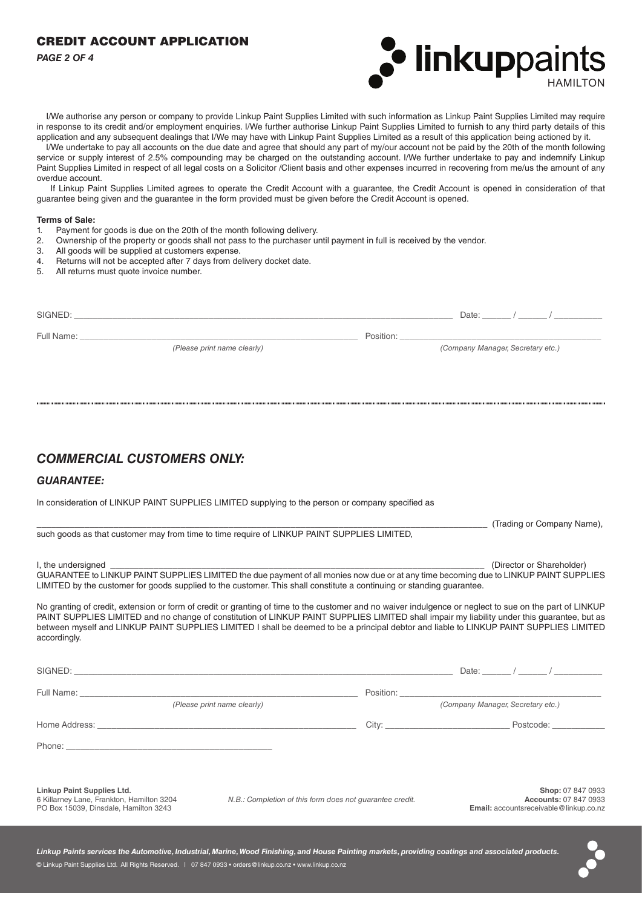## CREDIT ACCOUNT APPLICATION

*PAGE 2 OF 4*



 I/We authorise any person or company to provide Linkup Paint Supplies Limited with such information as Linkup Paint Supplies Limited may require in response to its credit and/or employment enquiries. I/We further authorise Linkup Paint Supplies Limited to furnish to any third party details of this application and any subsequent dealings that I/We may have with Linkup Paint Supplies Limited as a result of this application being actioned by it.

 I/We undertake to pay all accounts on the due date and agree that should any part of my/our account not be paid by the 20th of the month following service or supply interest of 2.5% compounding may be charged on the outstanding account. I/We further undertake to pay and indemnify Linkup Paint Supplies Limited in respect of all legal costs on a Solicitor /Client basis and other expenses incurred in recovering from me/us the amount of any overdue account.

 If Linkup Paint Supplies Limited agrees to operate the Credit Account with a guarantee, the Credit Account is opened in consideration of that guarantee being given and the guarantee in the form provided must be given before the Credit Account is opened.

#### **Terms of Sale:**

- 1. Payment for goods is due on the 20th of the month following delivery.
- 2. Ownership of the property or goods shall not pass to the purchaser until payment in full is received by the vendor.
- 3. All goods will be supplied at customers expense.
- 4. Returns will not be accepted after 7 days from delivery docket date.
- 5. All returns must quote invoice number.

| (Company Manager, Secretary etc.) |
|-----------------------------------|
|                                   |

# *COMMERCIAL CUSTOMERS ONLY:*

### *GUARANTEE:*

In consideration of LINKUP PAINT SUPPLIES LIMITED supplying to the person or company specified as

| such goods as that customer may from time to time require of LINKUP PAINT SUPPLIES LIMITED,                                                                                                                                                                                                                                                                                                                                                                        |                                                          |                                                   |  |
|--------------------------------------------------------------------------------------------------------------------------------------------------------------------------------------------------------------------------------------------------------------------------------------------------------------------------------------------------------------------------------------------------------------------------------------------------------------------|----------------------------------------------------------|---------------------------------------------------|--|
| I, the undersigned<br>GUARANTEE to LINKUP PAINT SUPPLIES LIMITED the due payment of all monies now due or at any time becoming due to LINKUP PAINT SUPPLIES<br>LIMITED by the customer for goods supplied to the customer. This shall constitute a continuing or standing guarantee.                                                                                                                                                                               |                                                          | (Director or Shareholder)                         |  |
| No granting of credit, extension or form of credit or granting of time to the customer and no waiver indulgence or neglect to sue on the part of LINKUP<br>PAINT SUPPLIES LIMITED and no change of constitution of LINKUP PAINT SUPPLIES LIMITED shall impair my liability under this guarantee, but as<br>between myself and LINKUP PAINT SUPPLIES LIMITED I shall be deemed to be a principal debtor and liable to LINKUP PAINT SUPPLIES LIMITED<br>accordingly. |                                                          |                                                   |  |
|                                                                                                                                                                                                                                                                                                                                                                                                                                                                    |                                                          |                                                   |  |
|                                                                                                                                                                                                                                                                                                                                                                                                                                                                    |                                                          |                                                   |  |
| (Please print name clearly)                                                                                                                                                                                                                                                                                                                                                                                                                                        |                                                          | (Company Manager, Secretary etc.)                 |  |
|                                                                                                                                                                                                                                                                                                                                                                                                                                                                    |                                                          | Postcode:                                         |  |
| Phone: Note: The Commission of the Commission of the Commission of the Commission of the Commission of the Commission of the Commission of the Commission of the Commission of the Commission of the Commission of the Commiss                                                                                                                                                                                                                                     |                                                          |                                                   |  |
| <b>Linkup Paint Supplies Ltd.</b><br>6 Killarney Lane, Frankton, Hamilton 3204                                                                                                                                                                                                                                                                                                                                                                                     | N.B.: Completion of this form does not quarantee credit. | Shop: 07 847 0933<br><b>Accounts: 07 847 0933</b> |  |

PO Box 15039, Dinsdale, Hamilton 3243

*N.B.: Completion of this form does not guarantee credit.*

\_\_\_\_\_\_\_\_\_\_\_\_\_\_\_\_\_\_\_\_\_\_\_\_\_\_\_\_\_\_\_\_\_\_\_\_\_\_\_\_\_\_\_\_\_\_\_\_\_\_\_\_\_\_\_\_\_\_\_\_\_\_\_\_\_\_\_\_\_\_\_\_\_\_\_\_\_\_\_\_\_\_\_\_\_\_\_\_\_\_\_\_\_\_ (Trading or Company Name),

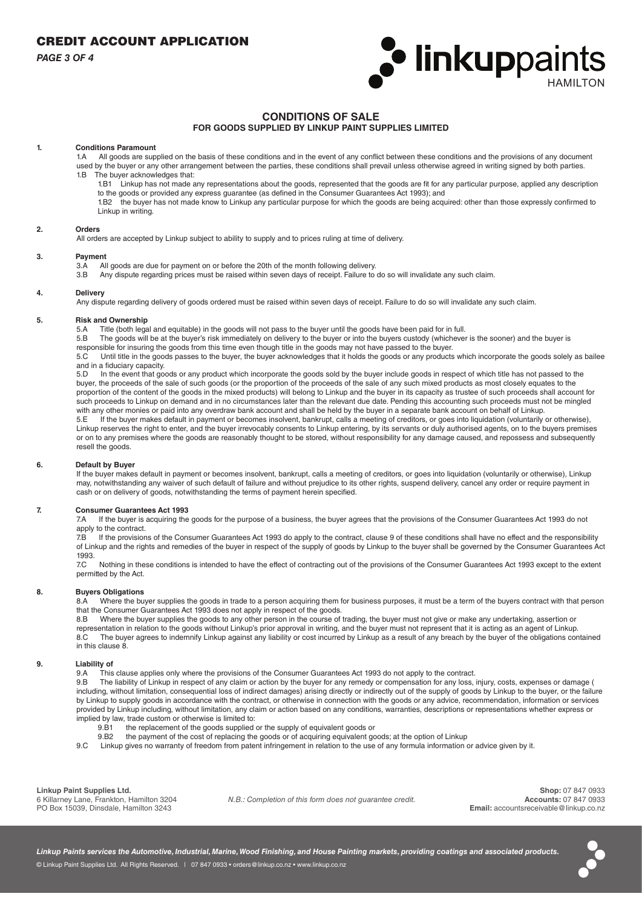*PAGE 3 OF 4*



## **CONDITIONS OF SALE**

### **FOR GOODS SUPPLIED BY LINKUP PAINT SUPPLIES LIMITED**

# **1. Conditions Paramount**

All goods are supplied on the basis of these conditions and in the event of any conflict between these conditions and the provisions of any document used by the buyer or any other arrangement between the parties, these conditions shall prevail unless otherwise agreed in writing signed by both parties. 1.B The buyer acknowledges that:

- 1.B1 Linkup has not made any representations about the goods, represented that the goods are fit for any particular purpose, applied any description to the goods or provided any express guarantee (as defined in the Consumer Guarantees Act 1993); and
- 1.B2 the buyer has not made know to Linkup any particular purpose for which the goods are being acquired: other than those expressly confirmed to Linkup in writing.

#### **2. Orders**

All orders are accepted by Linkup subject to ability to supply and to prices ruling at time of delivery.

#### **3. Payment**

- 3.A All goods are due for payment on or before the 20th of the month following delivery.<br>3.B Any dispute regarding prices must be raised within seven days of receipt. Failure to
- Any dispute regarding prices must be raised within seven days of receipt. Failure to do so will invalidate any such claim.

#### **4. Delivery**

Any dispute regarding delivery of goods ordered must be raised within seven days of receipt. Failure to do so will invalidate any such claim.

# **5. Risk and Ownership**

Title (both legal and equitable) in the goods will not pass to the buyer until the goods have been paid for in full.

5.B The goods will be at the buyer's risk immediately on delivery to the buyer or into the buyers custody (whichever is the sooner) and the buyer is responsible for insuring the goods from this time even though title in the goods may not have passed to the buyer.

5.C Until title in the goods passes to the buyer, the buyer acknowledges that it holds the goods or any products which incorporate the goods solely as bailee and in a fiduciary capacity.

5.D In the event that goods or any product which incorporate the goods sold by the buyer include goods in respect of which title has not passed to the buyer, the proceeds of the sale of such goods (or the proportion of the proceeds of the sale of any such mixed products as most closely equates to the proportion of the content of the goods in the mixed products) will belong to Linkup and the buyer in its capacity as trustee of such proceeds shall account for such proceeds to Linkup on demand and in no circumstances later than the relevant due date. Pending this accounting such proceeds must not be mingled with any other monies or paid into any overdraw bank account and shall be held by the buyer in a separate bank account on behalf of Linkup.<br>5.5. If the buyer makes default in payment or becomes insolvent, bankrupt, calls a

If the buyer makes default in payment or becomes insolvent, bankrupt, calls a meeting of creditors, or goes into liquidation (voluntarily or otherwise), Linkup reserves the right to enter, and the buyer irrevocably consents to Linkup entering, by its servants or duly authorised agents, on to the buyers premises or on to any premises where the goods are reasonably thought to be stored, without responsibility for any damage caused, and repossess and subsequently resell the goods.

#### **6. Default by Buyer**

If the buyer makes default in payment or becomes insolvent, bankrupt, calls a meeting of creditors, or goes into liquidation (voluntarily or otherwise), Linkup may, notwithstanding any waiver of such default of failure and without prejudice to its other rights, suspend delivery, cancel any order or require payment in cash or on delivery of goods, notwithstanding the terms of payment herein specified.

#### **7. Consumer Guarantees Act 1993**

7.A If the buyer is acquiring the goods for the purpose of a business, the buyer agrees that the provisions of the Consumer Guarantees Act 1993 do not apply to the contract.

7.B If the provisions of the Consumer Guarantees Act 1993 do apply to the contract, clause 9 of these conditions shall have no effect and the responsibility of Linkup and the rights and remedies of the buyer in respect of the supply of goods by Linkup to the buyer shall be governed by the Consumer Guarantees Act 1993.

7.C Nothing in these conditions is intended to have the effect of contracting out of the provisions of the Consumer Guarantees Act 1993 except to the extent permitted by the Act.

### **8. Buyers Obligations**

8.A Where the buyer supplies the goods in trade to a person acquiring them for business purposes, it must be a term of the buyers contract with that person that the Consumer Guarantees Act 1993 does not apply in respect of the goods.

8.B Where the buyer supplies the goods to any other person in the course of trading, the buyer must not give or make any undertaking, assertion or representation in relation to the goods without Linkup's prior approval in writing, and the buyer must not represent that it is acting as an agent of Linkup. 8.C The buyer agrees to indemnify Linkup against any liability or cost incurred by Linkup as a result of any breach by the buyer of the obligations contained in this clause 8.

#### **9. Liability of**

9.A This clause applies only where the provisions of the Consumer Guarantees Act 1993 do not apply to the contract.<br>9.B The liability of Linkup in respect of any claim or action by the buyer for any remedy or compensation

The liability of Linkup in respect of any claim or action by the buyer for any remedy or compensation for any loss, injury, costs, expenses or damage ( including, without limitation, consequential loss of indirect damages) arising directly or indirectly out of the supply of goods by Linkup to the buyer, or the failure by Linkup to supply goods in accordance with the contract, or otherwise in connection with the goods or any advice, recommendation, information or services provided by Linkup including, without limitation, any claim or action based on any conditions, warranties, descriptions or representations whether express or implied by law, trade custom or otherwise is limited to:

- the replacement of the goods supplied or the supply of equivalent goods or
- 9.B2 the payment of the cost of replacing the goods or of acquiring equivalent goods; at the option of Linkup
- 9.C Linkup gives no warranty of freedom from patent infringement in relation to the use of any formula information or advice given by it.

**Linkup Paint Supplies Ltd.**

6 Killarney Lane, Frankton, Hamilton 3204 PO Box 15039, Dinsdale, Hamilton 3243

*N.B.: Completion of this form does not guarantee credit.*

**Shop:** 07 847 0933 **Accounts:** 07 847 0933 **Email:** accountsreceivable@linkup.co.nz